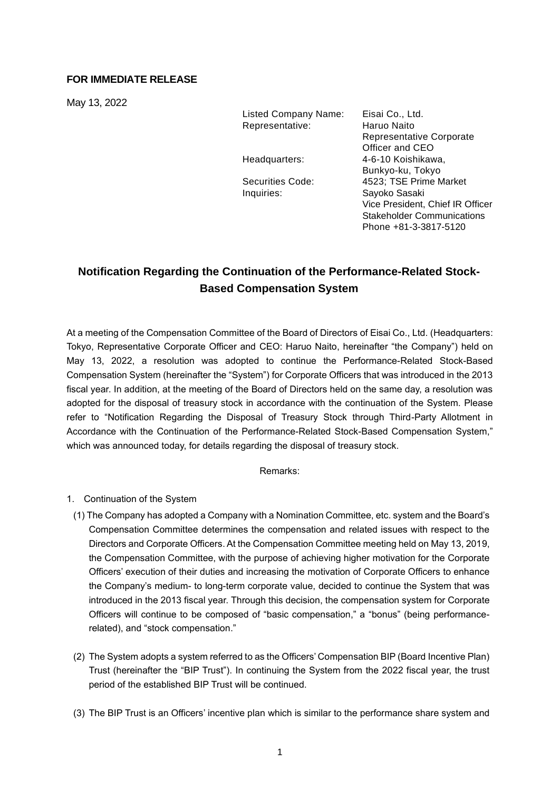### **FOR IMMEDIATE RELEASE**

May 13, 2022

Listed Company Name: Eisai Co., Ltd. Representative: Haruo Naito

Inquiries: Sayoko Sasaki

Representative Corporate Officer and CEO Headquarters: 4-6-10 Koishikawa, Bunkyo-ku, Tokyo Securities Code: 4523; TSE Prime Market Vice President, Chief IR Officer Stakeholder Communications Phone +81-3-3817-5120

## **Notification Regarding the Continuation of the Performance-Related Stock-Based Compensation System**

At a meeting of the Compensation Committee of the Board of Directors of Eisai Co., Ltd. (Headquarters: Tokyo, Representative Corporate Officer and CEO: Haruo Naito, hereinafter "the Company") held on May 13, 2022, a resolution was adopted to continue the Performance-Related Stock-Based Compensation System (hereinafter the "System") for Corporate Officers that was introduced in the 2013 fiscal year. In addition, at the meeting of the Board of Directors held on the same day, a resolution was adopted for the disposal of treasury stock in accordance with the continuation of the System. Please refer to "Notification Regarding the Disposal of Treasury Stock through Third-Party Allotment in Accordance with the Continuation of the Performance-Related Stock-Based Compensation System," which was announced today, for details regarding the disposal of treasury stock.

#### Remarks:

#### 1. Continuation of the System

- (1) The Company has adopted a Company with a Nomination Committee, etc. system and the Board's Compensation Committee determines the compensation and related issues with respect to the Directors and Corporate Officers. At the Compensation Committee meeting held on May 13, 2019, the Compensation Committee, with the purpose of achieving higher motivation for the Corporate Officers' execution of their duties and increasing the motivation of Corporate Officers to enhance the Company's medium- to long-term corporate value, decided to continue the System that was introduced in the 2013 fiscal year. Through this decision, the compensation system for Corporate Officers will continue to be composed of "basic compensation," a "bonus" (being performancerelated), and "stock compensation."
- (2) The System adopts a system referred to as the Officers' Compensation BIP (Board Incentive Plan) Trust (hereinafter the "BIP Trust"). In continuing the System from the 2022 fiscal year, the trust period of the established BIP Trust will be continued.
- (3) The BIP Trust is an Officers' incentive plan which is similar to the performance share system and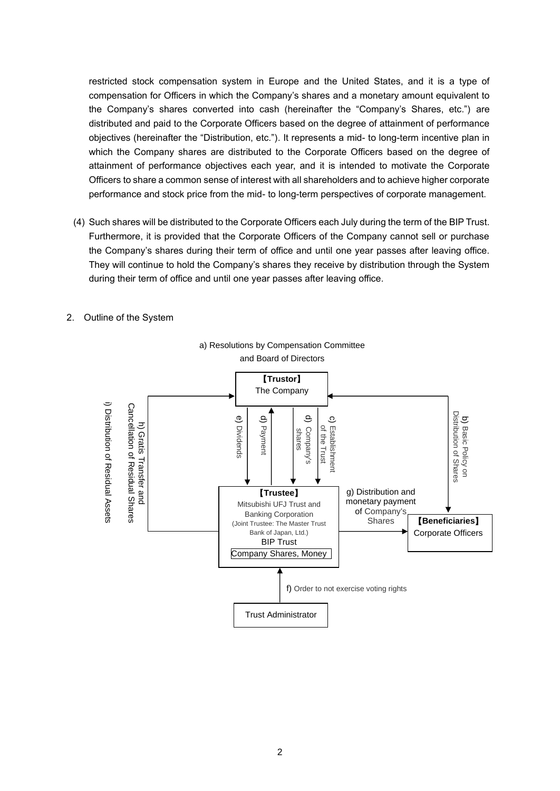restricted stock compensation system in Europe and the United States, and it is a type of compensation for Officers in which the Company's shares and a monetary amount equivalent to the Company's shares converted into cash (hereinafter the "Company's Shares, etc.") are distributed and paid to the Corporate Officers based on the degree of attainment of performance objectives (hereinafter the "Distribution, etc."). It represents a mid- to long-term incentive plan in which the Company shares are distributed to the Corporate Officers based on the degree of attainment of performance objectives each year, and it is intended to motivate the Corporate Officers to share a common sense of interest with all shareholders and to achieve higher corporate performance and stock price from the mid- to long-term perspectives of corporate management.

- (4) Such shares will be distributed to the Corporate Officers each July during the term of the BIP Trust. Furthermore, it is provided that the Corporate Officers of the Company cannot sell or purchase the Company's shares during their term of office and until one year passes after leaving office. They will continue to hold the Company's shares they receive by distribution through the System during their term of office and until one year passes after leaving office.
- 2. Outline of the System



a) Resolutions by Compensation Committee and Board of Directors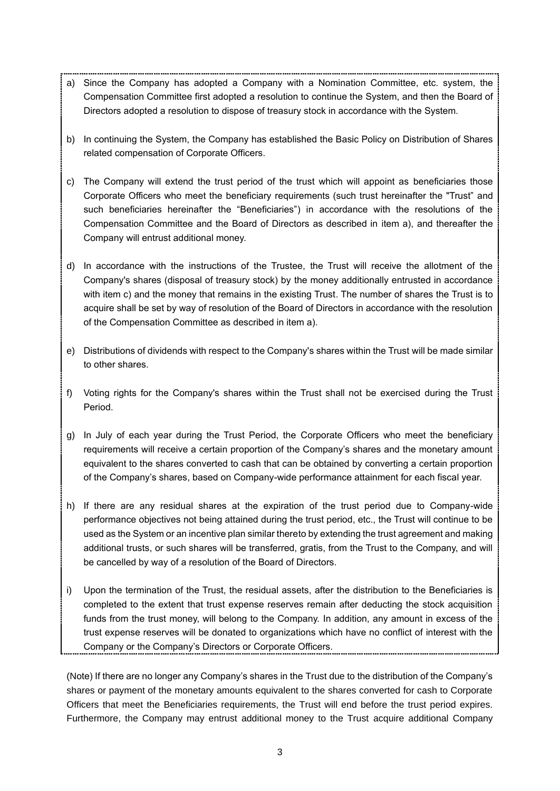- a) Since the Company has adopted a Company with a Nomination Committee, etc. system, the Compensation Committee first adopted a resolution to continue the System, and then the Board of Directors adopted a resolution to dispose of treasury stock in accordance with the System.
- b) In continuing the System, the Company has established the Basic Policy on Distribution of Shares related compensation of Corporate Officers.
- c) The Company will extend the trust period of the trust which will appoint as beneficiaries those Corporate Officers who meet the beneficiary requirements (such trust hereinafter the "Trust" and such beneficiaries hereinafter the "Beneficiaries") in accordance with the resolutions of the Compensation Committee and the Board of Directors as described in item a), and thereafter the Company will entrust additional money.
- d) In accordance with the instructions of the Trustee, the Trust will receive the allotment of the Company's shares (disposal of treasury stock) by the money additionally entrusted in accordance with item c) and the money that remains in the existing Trust. The number of shares the Trust is to acquire shall be set by way of resolution of the Board of Directors in accordance with the resolution of the Compensation Committee as described in item a).
- e) Distributions of dividends with respect to the Company's shares within the Trust will be made similar to other shares.
- f) Voting rights for the Company's shares within the Trust shall not be exercised during the Trust Period.
- g) In July of each year during the Trust Period, the Corporate Officers who meet the beneficiary requirements will receive a certain proportion of the Company's shares and the monetary amount equivalent to the shares converted to cash that can be obtained by converting a certain proportion of the Company's shares, based on Company-wide performance attainment for each fiscal year.
- h) If there are any residual shares at the expiration of the trust period due to Company-wide performance objectives not being attained during the trust period, etc., the Trust will continue to be used as the System or an incentive plan similar thereto by extending the trust agreement and making additional trusts, or such shares will be transferred, gratis, from the Trust to the Company, and will be cancelled by way of a resolution of the Board of Directors.
- i) Upon the termination of the Trust, the residual assets, after the distribution to the Beneficiaries is completed to the extent that trust expense reserves remain after deducting the stock acquisition funds from the trust money, will belong to the Company. In addition, any amount in excess of the trust expense reserves will be donated to organizations which have no conflict of interest with the Company or the Company's Directors or Corporate Officers.

(Note) If there are no longer any Company's shares in the Trust due to the distribution of the Company's shares or payment of the monetary amounts equivalent to the shares converted for cash to Corporate Officers that meet the Beneficiaries requirements, the Trust will end before the trust period expires. Furthermore, the Company may entrust additional money to the Trust acquire additional Company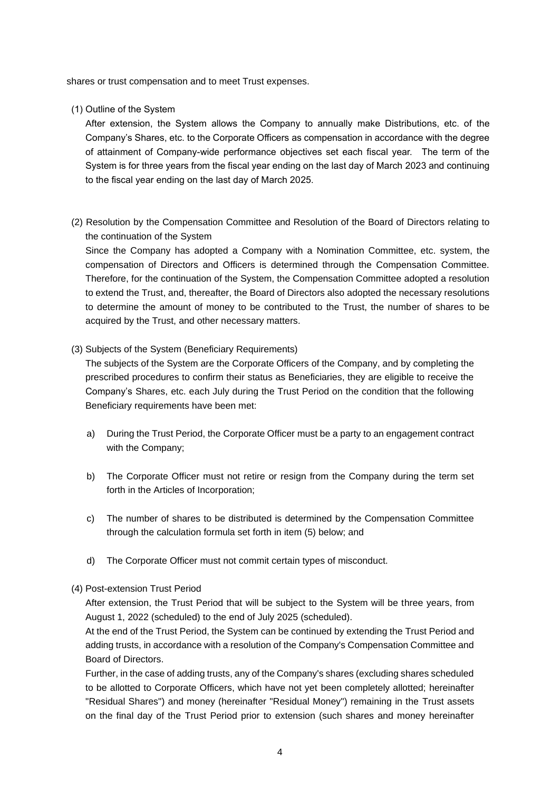shares or trust compensation and to meet Trust expenses.

(1) Outline of the System

After extension, the System allows the Company to annually make Distributions, etc. of the Company's Shares, etc. to the Corporate Officers as compensation in accordance with the degree of attainment of Company-wide performance objectives set each fiscal year. The term of the System is for three years from the fiscal year ending on the last day of March 2023 and continuing to the fiscal year ending on the last day of March 2025.

(2) Resolution by the Compensation Committee and Resolution of the Board of Directors relating to the continuation of the System

Since the Company has adopted a Company with a Nomination Committee, etc. system, the compensation of Directors and Officers is determined through the Compensation Committee. Therefore, for the continuation of the System, the Compensation Committee adopted a resolution to extend the Trust, and, thereafter, the Board of Directors also adopted the necessary resolutions to determine the amount of money to be contributed to the Trust, the number of shares to be acquired by the Trust, and other necessary matters.

#### (3) Subjects of the System (Beneficiary Requirements)

The subjects of the System are the Corporate Officers of the Company, and by completing the prescribed procedures to confirm their status as Beneficiaries, they are eligible to receive the Company's Shares, etc. each July during the Trust Period on the condition that the following Beneficiary requirements have been met:

- a) During the Trust Period, the Corporate Officer must be a party to an engagement contract with the Company;
- b) The Corporate Officer must not retire or resign from the Company during the term set forth in the Articles of Incorporation;
- c) The number of shares to be distributed is determined by the Compensation Committee through the calculation formula set forth in item (5) below; and
- d) The Corporate Officer must not commit certain types of misconduct.

#### (4) Post-extension Trust Period

After extension, the Trust Period that will be subject to the System will be three years, from August 1, 2022 (scheduled) to the end of July 2025 (scheduled).

At the end of the Trust Period, the System can be continued by extending the Trust Period and adding trusts, in accordance with a resolution of the Company's Compensation Committee and Board of Directors.

Further, in the case of adding trusts, any of the Company's shares (excluding shares scheduled to be allotted to Corporate Officers, which have not yet been completely allotted; hereinafter "Residual Shares") and money (hereinafter "Residual Money") remaining in the Trust assets on the final day of the Trust Period prior to extension (such shares and money hereinafter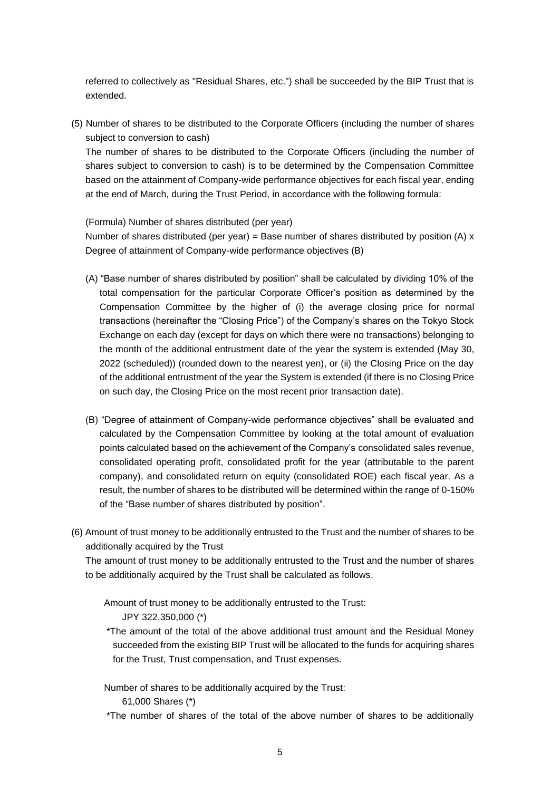referred to collectively as "Residual Shares, etc.") shall be succeeded by the BIP Trust that is extended.

(5) Number of shares to be distributed to the Corporate Officers (including the number of shares subject to conversion to cash)

The number of shares to be distributed to the Corporate Officers (including the number of shares subject to conversion to cash) is to be determined by the Compensation Committee based on the attainment of Company-wide performance objectives for each fiscal year, ending at the end of March, during the Trust Period, in accordance with the following formula:

(Formula) Number of shares distributed (per year) Number of shares distributed (per year) = Base number of shares distributed by position (A)  $x$ Degree of attainment of Company-wide performance objectives (B)

- (A) "Base number of shares distributed by position" shall be calculated by dividing 10% of the total compensation for the particular Corporate Officer's position as determined by the Compensation Committee by the higher of (i) the average closing price for normal transactions (hereinafter the "Closing Price") of the Company's shares on the Tokyo Stock Exchange on each day (except for days on which there were no transactions) belonging to the month of the additional entrustment date of the year the system is extended (May 30, 2022 (scheduled)) (rounded down to the nearest yen), or (ii) the Closing Price on the day of the additional entrustment of the year the System is extended (if there is no Closing Price on such day, the Closing Price on the most recent prior transaction date).
- (B) "Degree of attainment of Company-wide performance objectives" shall be evaluated and calculated by the Compensation Committee by looking at the total amount of evaluation points calculated based on the achievement of the Company's consolidated sales revenue, consolidated operating profit, consolidated profit for the year (attributable to the parent company), and consolidated return on equity (consolidated ROE) each fiscal year. As a result, the number of shares to be distributed will be determined within the range of 0-150% of the "Base number of shares distributed by position".
- (6) Amount of trust money to be additionally entrusted to the Trust and the number of shares to be additionally acquired by the Trust

The amount of trust money to be additionally entrusted to the Trust and the number of shares to be additionally acquired by the Trust shall be calculated as follows.

Amount of trust money to be additionally entrusted to the Trust: JPY 322,350,000 (\*)

\*The amount of the total of the above additional trust amount and the Residual Money succeeded from the existing BIP Trust will be allocated to the funds for acquiring shares for the Trust, Trust compensation, and Trust expenses.

Number of shares to be additionally acquired by the Trust:

61,000 Shares (\*)

\*The number of shares of the total of the above number of shares to be additionally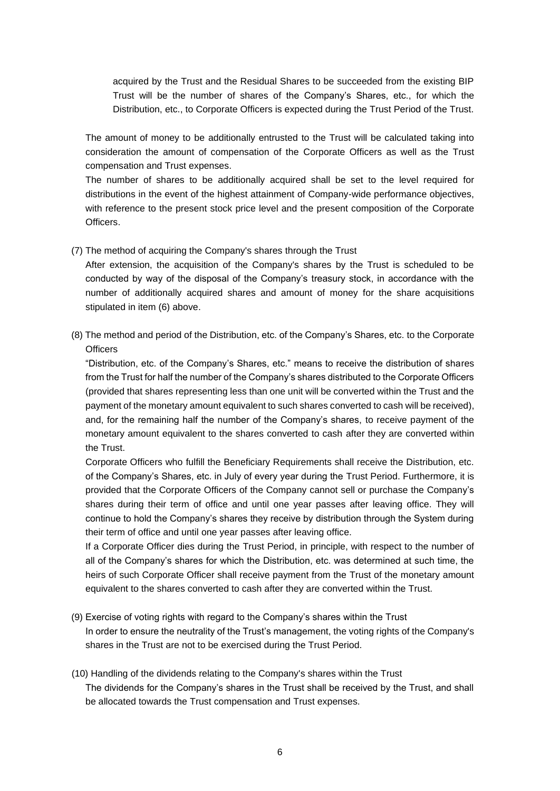acquired by the Trust and the Residual Shares to be succeeded from the existing BIP Trust will be the number of shares of the Company's Shares, etc., for which the Distribution, etc., to Corporate Officers is expected during the Trust Period of the Trust.

The amount of money to be additionally entrusted to the Trust will be calculated taking into consideration the amount of compensation of the Corporate Officers as well as the Trust compensation and Trust expenses.

The number of shares to be additionally acquired shall be set to the level required for distributions in the event of the highest attainment of Company-wide performance objectives, with reference to the present stock price level and the present composition of the Corporate Officers.

(7) The method of acquiring the Company's shares through the Trust

After extension, the acquisition of the Company's shares by the Trust is scheduled to be conducted by way of the disposal of the Company's treasury stock, in accordance with the number of additionally acquired shares and amount of money for the share acquisitions stipulated in item (6) above.

(8) The method and period of the Distribution, etc. of the Company's Shares, etc. to the Corporate **Officers** 

"Distribution, etc. of the Company's Shares, etc." means to receive the distribution of shares from the Trust for half the number of the Company's shares distributed to the Corporate Officers (provided that shares representing less than one unit will be converted within the Trust and the payment of the monetary amount equivalent to such shares converted to cash will be received), and, for the remaining half the number of the Company's shares, to receive payment of the monetary amount equivalent to the shares converted to cash after they are converted within the Trust.

Corporate Officers who fulfill the Beneficiary Requirements shall receive the Distribution, etc. of the Company's Shares, etc. in July of every year during the Trust Period. Furthermore, it is provided that the Corporate Officers of the Company cannot sell or purchase the Company's shares during their term of office and until one year passes after leaving office. They will continue to hold the Company's shares they receive by distribution through the System during their term of office and until one year passes after leaving office.

If a Corporate Officer dies during the Trust Period, in principle, with respect to the number of all of the Company's shares for which the Distribution, etc. was determined at such time, the heirs of such Corporate Officer shall receive payment from the Trust of the monetary amount equivalent to the shares converted to cash after they are converted within the Trust.

- (9) Exercise of voting rights with regard to the Company's shares within the Trust In order to ensure the neutrality of the Trust's management, the voting rights of the Company's shares in the Trust are not to be exercised during the Trust Period.
- (10) Handling of the dividends relating to the Company's shares within the Trust The dividends for the Company's shares in the Trust shall be received by the Trust, and shall be allocated towards the Trust compensation and Trust expenses.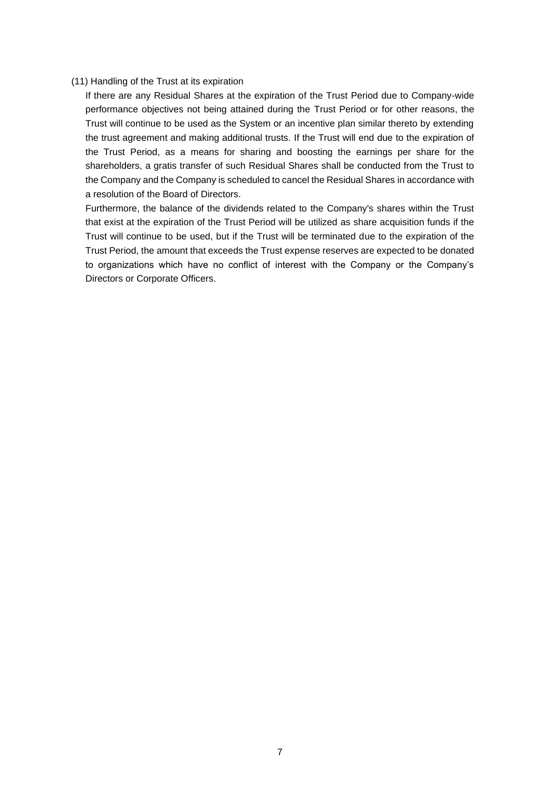#### (11) Handling of the Trust at its expiration

If there are any Residual Shares at the expiration of the Trust Period due to Company-wide performance objectives not being attained during the Trust Period or for other reasons, the Trust will continue to be used as the System or an incentive plan similar thereto by extending the trust agreement and making additional trusts. If the Trust will end due to the expiration of the Trust Period, as a means for sharing and boosting the earnings per share for the shareholders, a gratis transfer of such Residual Shares shall be conducted from the Trust to the Company and the Company is scheduled to cancel the Residual Shares in accordance with a resolution of the Board of Directors.

Furthermore, the balance of the dividends related to the Company's shares within the Trust that exist at the expiration of the Trust Period will be utilized as share acquisition funds if the Trust will continue to be used, but if the Trust will be terminated due to the expiration of the Trust Period, the amount that exceeds the Trust expense reserves are expected to be donated to organizations which have no conflict of interest with the Company or the Company's Directors or Corporate Officers.